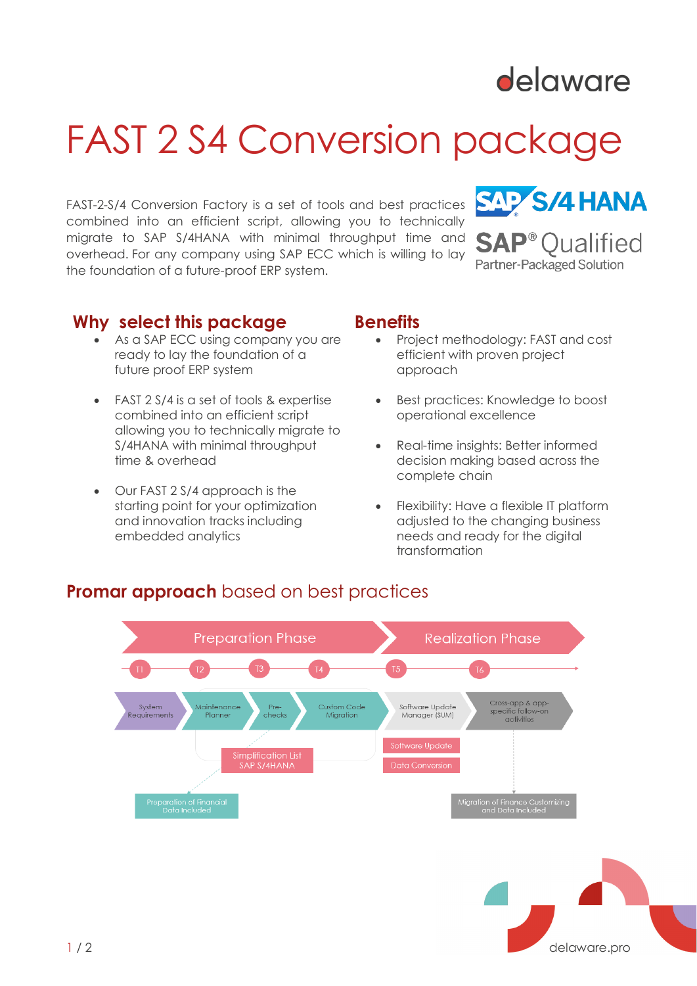

# FAST 2 S4 Conversion package

FAST-2-S/4 Conversion Factory is a set of tools and best practices combined into an efficient script, allowing you to technically migrate to SAP S/4HANA with minimal throughput time and overhead. For any company using SAP ECC which is willing to lay the foundation of a future-proof ERP system.



### **Why select this package benefits**

- As a SAP ECC using company you are ready to lay the foundation of a future proof ERP system
- FAST 2 S/4 is a set of tools & expertise combined into an efficient script allowing you to technically migrate to S/4HANA with minimal throughput time & overhead
- Our FAST 2 S/4 approach is the starting point for your optimization and innovation tracks including embedded analytics

- Project methodology: FAST and cost efficient with proven project approach
- Best practices: Knowledge to boost operational excellence
- Real-time insights: Better informed decision making based across the complete chain
- Flexibility: Have a flexible IT platform adjusted to the changing business needs and ready for the digital transformation

### **Promar approach** based on best practices